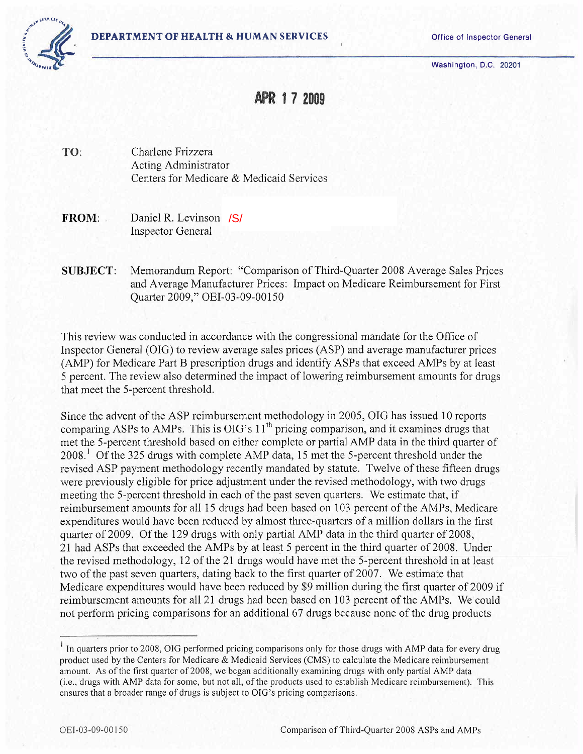

Washington, D.C. 20201

# APR 1 7 2009

TO: Charlene Frizzera Acting Administrator Centers for Medicare & Medicaid Services

- FROM: Daniel R. Levinson /S/ Inspector General
- SUBJECT: Memorandum Report: "Comparison of Third-Quarter 2008 Average Sales Prices and Average Manufacturer Prices: Impact on Medicare Reimbursement for First Quarter 2009," OEI-03-09-00150

This review was conducted in accordance with the congressional mandate for the Office of Inspector General (OIG) to review average sales prices (ASP) and average manufacturer prices (AMP) for Medicare Part B prescription drugs and identify ASPs that exceed AMPs by at least 5 percent. The review also determined the impact of lowering reimbursement amounts for drugs that meet the 5-percent threshold.

Since the advent of the ASP reimbursement methodology in 2005, OIG has issued 10 reports comparing ASPs to AMPs. This is OIG's 11<sup>th</sup> pricing comparison, and it examines drugs that met the 5-percent threshold based on either complete or partial AMP data in the third quarter of  $2008<sup>1</sup>$  [O](#page-0-0)f the 325 drugs with complete AMP data, 15 met the 5-percent threshold under the revised ASP payment methodology recently mandated by statute. Twelve of these fifteen drugs were previously eligible for price adjustment under the revised methodology, with two drugs meeting the 5-percent threshold in each of the past seven quarters. We estimate that, if reimbursement amounts for all 15 drugs had been based on 103 percent of the AMPs, Medicare expenditures would have been reduced by almost three-quarters of a milion dollars in the first quarter of 2009. Of the 129 drugs with only partial AMP data in the third quarter of 2008, 21 had ASPs that exceeded the AMPs by at least 5 percent in the third quarter of 2008. Under the revised methodology, 12 of the 21 drugs would have met the 5-percent threshold in at least two of the past seven quarters, dating back to the first quarter of 2007. We estimate that Medicare expenditures would have been reduced by \$9 milion during the first quarter of 2009 if reimbursement amounts for all 21 drugs had been based on 103 percent of the AMPs. We could not perform pricing comparisons for an additional 67 drugs because none of the drug products

<span id="page-0-0"></span><sup>&</sup>lt;sup>1</sup> In quarters prior to 2008, OIG performed pricing comparisons only for those drugs with AMP data for every drug product used by the Centers for Medicare & Medicaid Services (CMS) to calculate the Medicare reimbursement amount. As of the first quarter of 2008, we began additionally examining drugs with only partial AMP data (i.e., drugs with AMP data for some, but not all, of the products used to establish Medicare reimbursement). This ensures that a broader range of drugs is subject to OIG's pricing comparisons.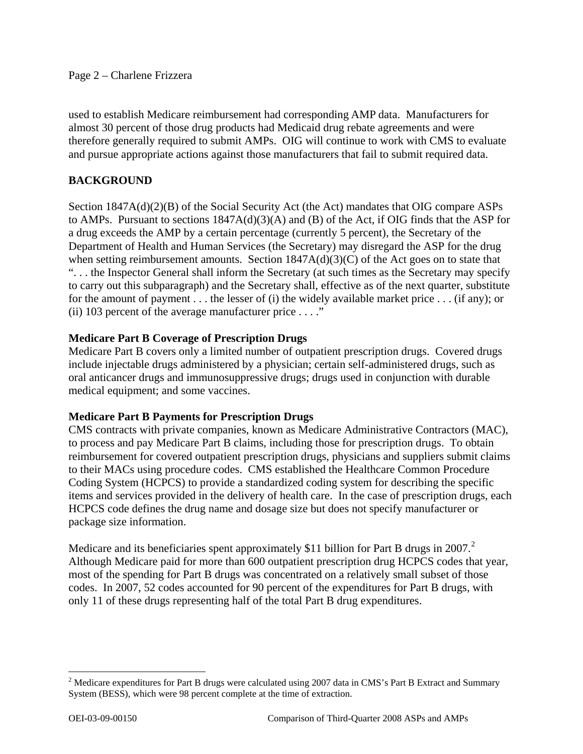#### Page 2 – Charlene Frizzera

used to establish Medicare reimbursement had corresponding AMP data. Manufacturers for almost 30 percent of those drug products had Medicaid drug rebate agreements and were therefore generally required to submit AMPs. OIG will continue to work with CMS to evaluate and pursue appropriate actions against those manufacturers that fail to submit required data.

### **BACKGROUND**

Section 1847A(d)(2)(B) of the Social Security Act (the Act) mandates that OIG compare ASPs to AMPs. Pursuant to sections 1847A(d)(3)(A) and (B) of the Act, if OIG finds that the ASP for a drug exceeds the AMP by a certain percentage (currently 5 percent), the Secretary of the Department of Health and Human Services (the Secretary) may disregard the ASP for the drug when setting reimbursement amounts. Section 1847A(d)(3)(C) of the Act goes on to state that ". . . the Inspector General shall inform the Secretary (at such times as the Secretary may specify to carry out this subparagraph) and the Secretary shall, effective as of the next quarter, substitute for the amount of payment . . . the lesser of (i) the widely available market price . . . (if any); or (ii) 103 percent of the average manufacturer price . . . ."

### **Medicare Part B Coverage of Prescription Drugs**

Medicare Part B covers only a limited number of outpatient prescription drugs. Covered drugs include injectable drugs administered by a physician; certain self-administered drugs, such as oral anticancer drugs and immunosuppressive drugs; drugs used in conjunction with durable medical equipment; and some vaccines.

#### **Medicare Part B Payments for Prescription Drugs**

CMS contracts with private companies, known as Medicare Administrative Contractors (MAC), to process and pay Medicare Part B claims, including those for prescription drugs. To obtain reimbursement for covered outpatient prescription drugs, physicians and suppliers submit claims to their MACs using procedure codes. CMS established the Healthcare Common Procedure Coding System (HCPCS) to provide a standardized coding system for describing the specific items and services provided in the delivery of health care. In the case of prescription drugs, each HCPCS code defines the drug name and dosage size but does not specify manufacturer or package size information.

Medicare and its beneficiaries spent approximately \$11 billion for Part B drugs in [2](#page-1-0)007.<sup>2</sup> Although Medicare paid for more than 600 outpatient prescription drug HCPCS codes that year, most of the spending for Part B drugs was concentrated on a relatively small subset of those codes. In 2007, 52 codes accounted for 90 percent of the expenditures for Part B drugs, with only 11 of these drugs representing half of the total Part B drug expenditures.

<span id="page-1-0"></span><sup>&</sup>lt;sup>2</sup> Medicare expenditures for Part B drugs were calculated using 2007 data in CMS's Part B Extract and Summary System (BESS), which were 98 percent complete at the time of extraction.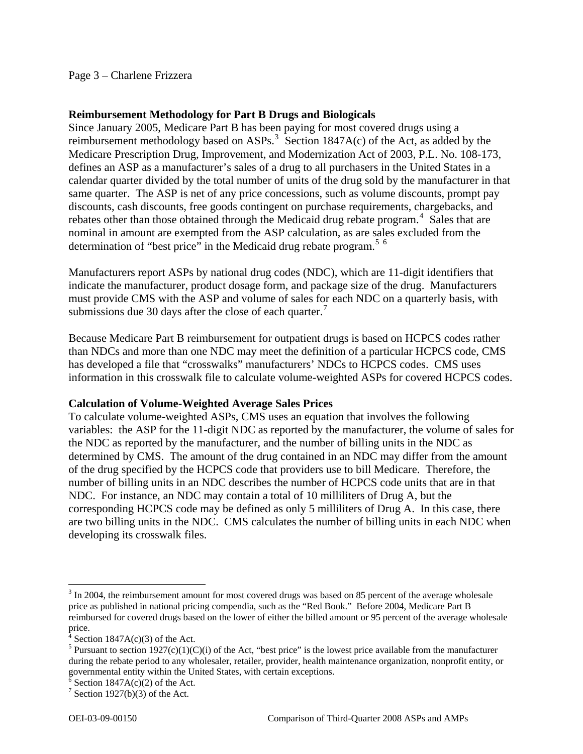#### Page 3 – Charlene Frizzera

#### **Reimbursement Methodology for Part B Drugs and Biologicals**

Since January 2005, Medicare Part B has been paying for most covered drugs using a reimbursement methodology based on ASPs.<sup>[3](#page-2-0)</sup> Section 1847A(c) of the Act, as added by the Medicare Prescription Drug, Improvement, and Modernization Act of 2003, P.L. No. 108-173, defines an ASP as a manufacturer's sales of a drug to all purchasers in the United States in a calendar quarter divided by the total number of units of the drug sold by the manufacturer in that same quarter. The ASP is net of any price concessions, such as volume discounts, prompt pay discounts, cash discounts, free goods contingent on purchase requirements, chargebacks, and rebates other than those obtained through the Medicaid drug rebate program.<sup>[4](#page-2-1)</sup> Sales that are nominal in amount are exempted from the ASP calculation, as are sales excluded from the determination of "best price" in the Medicaid drug rebate program.<sup>[5](#page-2-2) [6](#page-2-3)</sup>

Manufacturers report ASPs by national drug codes (NDC), which are 11-digit identifiers that indicate the manufacturer, product dosage form, and package size of the drug. Manufacturers must provide CMS with the ASP and volume of sales for each NDC on a quarterly basis, with submissions due 30 days after the close of each quarter.<sup>[7](#page-2-4)</sup>

Because Medicare Part B reimbursement for outpatient drugs is based on HCPCS codes rather than NDCs and more than one NDC may meet the definition of a particular HCPCS code, CMS has developed a file that "crosswalks" manufacturers' NDCs to HCPCS codes. CMS uses information in this crosswalk file to calculate volume-weighted ASPs for covered HCPCS codes.

#### **Calculation of Volume-Weighted Average Sales Prices**

To calculate volume-weighted ASPs, CMS uses an equation that involves the following variables: the ASP for the 11-digit NDC as reported by the manufacturer, the volume of sales for the NDC as reported by the manufacturer, and the number of billing units in the NDC as determined by CMS. The amount of the drug contained in an NDC may differ from the amount of the drug specified by the HCPCS code that providers use to bill Medicare. Therefore, the number of billing units in an NDC describes the number of HCPCS code units that are in that NDC. For instance, an NDC may contain a total of 10 milliliters of Drug A, but the corresponding HCPCS code may be defined as only 5 milliliters of Drug A. In this case, there are two billing units in the NDC. CMS calculates the number of billing units in each NDC when developing its crosswalk files.

<span id="page-2-0"></span> $3 \text{ In } 2004$ , the reimbursement amount for most covered drugs was based on 85 percent of the average wholesale price as published in national pricing compendia, such as the "Red Book." Before 2004, Medicare Part B reimbursed for covered drugs based on the lower of either the billed amount or 95 percent of the average wholesale price.<br><sup>4</sup> Sections

Section  $1847A(c)(3)$  of the Act.

<span id="page-2-2"></span><span id="page-2-1"></span><sup>&</sup>lt;sup>5</sup> Pursuant to section 1927(c)(1)(C)(i) of the Act, "best price" is the lowest price available from the manufacturer during the rebate period to any wholesaler, retailer, provider, health maintenance organization, nonprofit entity, or governmental entity within the United States, with certain exceptions.

<span id="page-2-3"></span> $\frac{6}{6}$  Section 1847A(c)(2) of the Act.

<span id="page-2-4"></span><sup>&</sup>lt;sup>7</sup> Section 1927(b)(3) of the Act.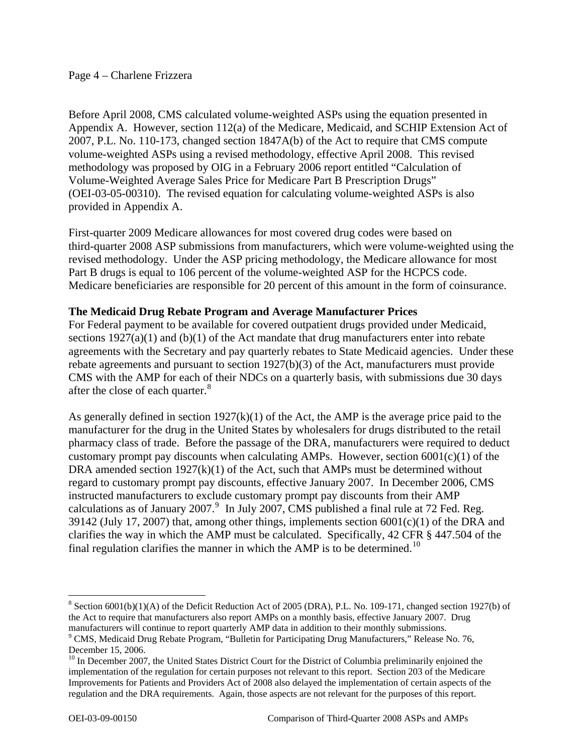#### Page 4 – Charlene Frizzera

Before April 2008, CMS calculated volume-weighted ASPs using the equation presented in Appendix A. However, section 112(a) of the Medicare, Medicaid, and SCHIP Extension Act of 2007, P.L. No. 110-173, changed section 1847A(b) of the Act to require that CMS compute volume-weighted ASPs using a revised methodology, effective April 2008. This revised methodology was proposed by OIG in a February 2006 report entitled "Calculation of Volume-Weighted Average Sales Price for Medicare Part B Prescription Drugs" (OEI-03-05-00310). The revised equation for calculating volume-weighted ASPs is also provided in Appendix A.

First-quarter 2009 Medicare allowances for most covered drug codes were based on third-quarter 2008 ASP submissions from manufacturers, which were volume-weighted using the revised methodology. Under the ASP pricing methodology, the Medicare allowance for most Part B drugs is equal to 106 percent of the volume-weighted ASP for the HCPCS code. Medicare beneficiaries are responsible for 20 percent of this amount in the form of coinsurance.

#### **The Medicaid Drug Rebate Program and Average Manufacturer Prices**

For Federal payment to be available for covered outpatient drugs provided under Medicaid, sections  $1927(a)(1)$  and  $(b)(1)$  of the Act mandate that drug manufacturers enter into rebate agreements with the Secretary and pay quarterly rebates to State Medicaid agencies. Under these rebate agreements and pursuant to section 1927(b)(3) of the Act, manufacturers must provide CMS with the AMP for each of their NDCs on a quarterly basis, with submissions due 30 days after the close of each quarter. $8$ 

As generally defined in section  $1927(k)(1)$  of the Act, the AMP is the average price paid to the manufacturer for the drug in the United States by wholesalers for drugs distributed to the retail pharmacy class of trade. Before the passage of the DRA, manufacturers were required to deduct customary prompt pay discounts when calculating AMPs. However, section  $6001(c)(1)$  of the DRA amended section  $1927(k)(1)$  of the Act, such that AMPs must be determined without regard to customary prompt pay discounts, effective January 2007. In December 2006, CMS instructed manufacturers to exclude customary prompt pay discounts from their AMP calculations as of January 2007. $9\,$  $9\,$  In July 2007, CMS published a final rule at 72 Fed. Reg. 39142 (July 17, 2007) that, among other things, implements section  $6001(c)(1)$  of the DRA and clarifies the way in which the AMP must be calculated. Specifically, 42 CFR § 447.504 of the final regulation clarifies the manner in which the AMP is to be determined.<sup>[10](#page-3-2)</sup>

<span id="page-3-0"></span> $8$  Section 6001(b)(1)(A) of the Deficit Reduction Act of 2005 (DRA), P.L. No. 109-171, changed section 1927(b) of the Act to require that manufacturers also report AMPs on a monthly basis, effective January 2007. Drug manufacturers will continue to report quarterly AMP data in addition to their monthly submissions. 9

<span id="page-3-1"></span><sup>&</sup>lt;sup>9</sup> CMS, Medicaid Drug Rebate Program, "Bulletin for Participating Drug Manufacturers," Release No. 76, December 15, 2006.

<span id="page-3-2"></span><sup>&</sup>lt;sup>10</sup> In December 2007, the United States District Court for the District of Columbia preliminarily enjoined the implementation of the regulation for certain purposes not relevant to this report. Section 203 of the Medicare Improvements for Patients and Providers Act of 2008 also delayed the implementation of certain aspects of the regulation and the DRA requirements. Again, those aspects are not relevant for the purposes of this report.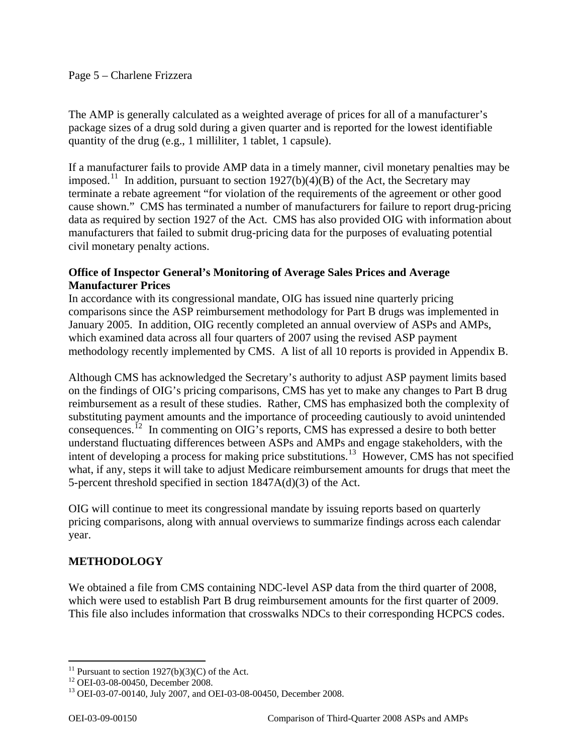The AMP is generally calculated as a weighted average of prices for all of a manufacturer's package sizes of a drug sold during a given quarter and is reported for the lowest identifiable quantity of the drug (e.g., 1 milliliter, 1 tablet, 1 capsule).

If a manufacturer fails to provide AMP data in a timely manner, civil monetary penalties may be imposed.<sup>[11](#page-4-0)</sup> In addition, pursuant to section 1927(b)(4)(B) of the Act, the Secretary may terminate a rebate agreement "for violation of the requirements of the agreement or other good cause shown." CMS has terminated a number of manufacturers for failure to report drug-pricing data as required by section 1927 of the Act. CMS has also provided OIG with information about manufacturers that failed to submit drug-pricing data for the purposes of evaluating potential civil monetary penalty actions.

### **Office of Inspector General's Monitoring of Average Sales Prices and Average Manufacturer Prices**

In accordance with its congressional mandate, OIG has issued nine quarterly pricing comparisons since the ASP reimbursement methodology for Part B drugs was implemented in January 2005. In addition, OIG recently completed an annual overview of ASPs and AMPs, which examined data across all four quarters of 2007 using the revised ASP payment methodology recently implemented by CMS. A list of all 10 reports is provided in Appendix B.

Although CMS has acknowledged the Secretary's authority to adjust ASP payment limits based on the findings of OIG's pricing comparisons, CMS has yet to make any changes to Part B drug reimbursement as a result of these studies. Rather, CMS has emphasized both the complexity of substituting payment amounts and the importance of proceeding cautiously to avoid unintended consequences.[12](#page-4-1) In commenting on OIG's reports, CMS has expressed a desire to both better understand fluctuating differences between ASPs and AMPs and engage stakeholders, with the intent of developing a process for making price substitutions.<sup>[13](#page-4-2)</sup> However, CMS has not specified what, if any, steps it will take to adjust Medicare reimbursement amounts for drugs that meet the 5-percent threshold specified in section 1847A(d)(3) of the Act.

OIG will continue to meet its congressional mandate by issuing reports based on quarterly pricing comparisons, along with annual overviews to summarize findings across each calendar year.

### **METHODOLOGY**

We obtained a file from CMS containing NDC-level ASP data from the third quarter of 2008, which were used to establish Part B drug reimbursement amounts for the first quarter of 2009. This file also includes information that crosswalks NDCs to their corresponding HCPCS codes.

 $\overline{a}$ <sup>11</sup> Pursuant to section  $1927(b)(3)(C)$  of the Act.

<span id="page-4-1"></span><span id="page-4-0"></span><sup>12</sup> OEI-03-08-00450, December 2008.

<span id="page-4-2"></span><sup>13</sup> OEI-03-07-00140, July 2007, and OEI-03-08-00450, December 2008.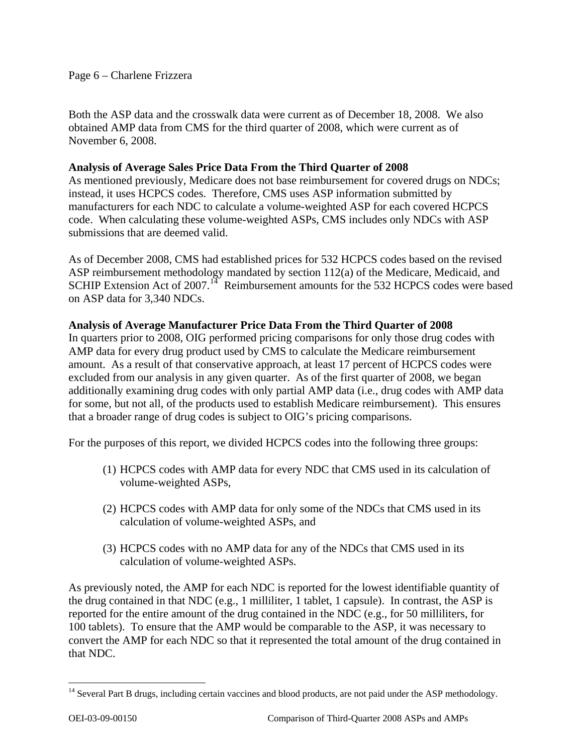Page 6 – Charlene Frizzera

Both the ASP data and the crosswalk data were current as of December 18, 2008. We also obtained AMP data from CMS for the third quarter of 2008, which were current as of November 6, 2008.

### **Analysis of Average Sales Price Data From the Third Quarter of 2008**

As mentioned previously, Medicare does not base reimbursement for covered drugs on NDCs; instead, it uses HCPCS codes. Therefore, CMS uses ASP information submitted by manufacturers for each NDC to calculate a volume-weighted ASP for each covered HCPCS code. When calculating these volume-weighted ASPs, CMS includes only NDCs with ASP submissions that are deemed valid.

As of December 2008, CMS had established prices for 532 HCPCS codes based on the revised ASP reimbursement methodology mandated by section 112(a) of the Medicare, Medicaid, and SCHIP Extension Act of 2007.<sup>[14](#page-5-0)</sup> Reimbursement amounts for the 532 HCPCS codes were based on ASP data for 3,340 NDCs.

### **Analysis of Average Manufacturer Price Data From the Third Quarter of 2008**

In quarters prior to 2008, OIG performed pricing comparisons for only those drug codes with AMP data for every drug product used by CMS to calculate the Medicare reimbursement amount. As a result of that conservative approach, at least 17 percent of HCPCS codes were excluded from our analysis in any given quarter. As of the first quarter of 2008, we began additionally examining drug codes with only partial AMP data (i.e., drug codes with AMP data for some, but not all, of the products used to establish Medicare reimbursement). This ensures that a broader range of drug codes is subject to OIG's pricing comparisons.

For the purposes of this report, we divided HCPCS codes into the following three groups:

- (1) HCPCS codes with AMP data for every NDC that CMS used in its calculation of volume-weighted ASPs,
- (2) HCPCS codes with AMP data for only some of the NDCs that CMS used in its calculation of volume-weighted ASPs, and
- (3) HCPCS codes with no AMP data for any of the NDCs that CMS used in its calculation of volume-weighted ASPs.

As previously noted, the AMP for each NDC is reported for the lowest identifiable quantity of the drug contained in that NDC (e.g., 1 milliliter, 1 tablet, 1 capsule). In contrast, the ASP is reported for the entire amount of the drug contained in the NDC (e.g., for 50 milliliters, for 100 tablets). To ensure that the AMP would be comparable to the ASP, it was necessary to convert the AMP for each NDC so that it represented the total amount of the drug contained in that NDC.

<span id="page-5-0"></span><sup>&</sup>lt;sup>14</sup> Several Part B drugs, including certain vaccines and blood products, are not paid under the ASP methodology.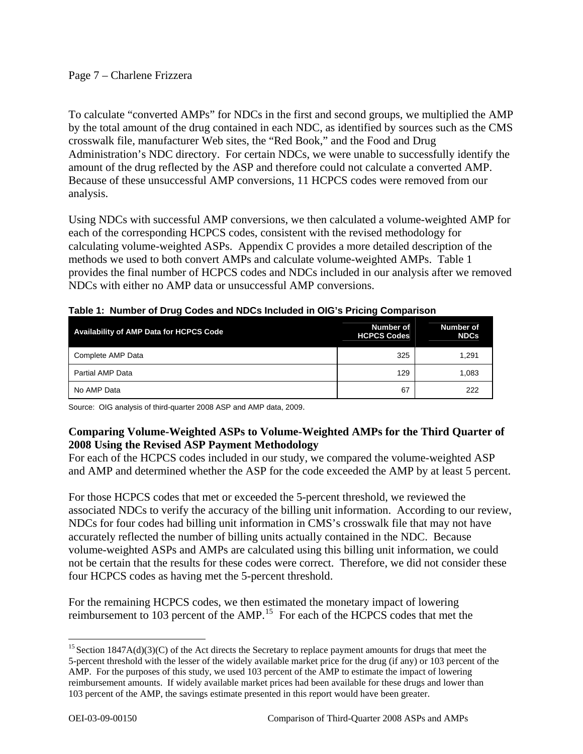### Page 7 – Charlene Frizzera

To calculate "converted AMPs" for NDCs in the first and second groups, we multiplied the AMP by the total amount of the drug contained in each NDC, as identified by sources such as the CMS crosswalk file, manufacturer Web sites, the "Red Book," and the Food and Drug Administration's NDC directory. For certain NDCs, we were unable to successfully identify the amount of the drug reflected by the ASP and therefore could not calculate a converted AMP. Because of these unsuccessful AMP conversions, 11 HCPCS codes were removed from our analysis.

Using NDCs with successful AMP conversions, we then calculated a volume-weighted AMP for each of the corresponding HCPCS codes, consistent with the revised methodology for calculating volume-weighted ASPs. Appendix C provides a more detailed description of the methods we used to both convert AMPs and calculate volume-weighted AMPs. Table 1 provides the final number of HCPCS codes and NDCs included in our analysis after we removed NDCs with either no AMP data or unsuccessful AMP conversions.

| <b>Availability of AMP Data for HCPCS Code</b> | Number of<br><b>HCPCS Codes</b> | Number of<br><b>NDCs</b> |
|------------------------------------------------|---------------------------------|--------------------------|
| Complete AMP Data                              | 325                             | 1.291                    |
| Partial AMP Data                               | 129                             | 1.083                    |
| No AMP Data                                    | 67                              | 222                      |

**Table 1: Number of Drug Codes and NDCs Included in OIG's Pricing Comparison**

Source: OIG analysis of third-quarter 2008 ASP and AMP data, 2009.

### **Comparing Volume-Weighted ASPs to Volume-Weighted AMPs for the Third Quarter of 2008 Using the Revised ASP Payment Methodology**

For each of the HCPCS codes included in our study, we compared the volume-weighted ASP and AMP and determined whether the ASP for the code exceeded the AMP by at least 5 percent.

For those HCPCS codes that met or exceeded the 5-percent threshold, we reviewed the associated NDCs to verify the accuracy of the billing unit information. According to our review, NDCs for four codes had billing unit information in CMS's crosswalk file that may not have accurately reflected the number of billing units actually contained in the NDC. Because volume-weighted ASPs and AMPs are calculated using this billing unit information, we could not be certain that the results for these codes were correct. Therefore, we did not consider these four HCPCS codes as having met the 5-percent threshold.

For the remaining HCPCS codes, we then estimated the monetary impact of lowering reimbursement to 103 percent of the AMP.[15](#page-6-0) For each of the HCPCS codes that met the

<span id="page-6-0"></span> $\overline{a}$ <sup>15</sup> Section  $1847A(d)(3)(C)$  of the Act directs the Secretary to replace payment amounts for drugs that meet the 5-percent threshold with the lesser of the widely available market price for the drug (if any) or 103 percent of the AMP. For the purposes of this study, we used 103 percent of the AMP to estimate the impact of lowering reimbursement amounts. If widely available market prices had been available for these drugs and lower than 103 percent of the AMP, the savings estimate presented in this report would have been greater.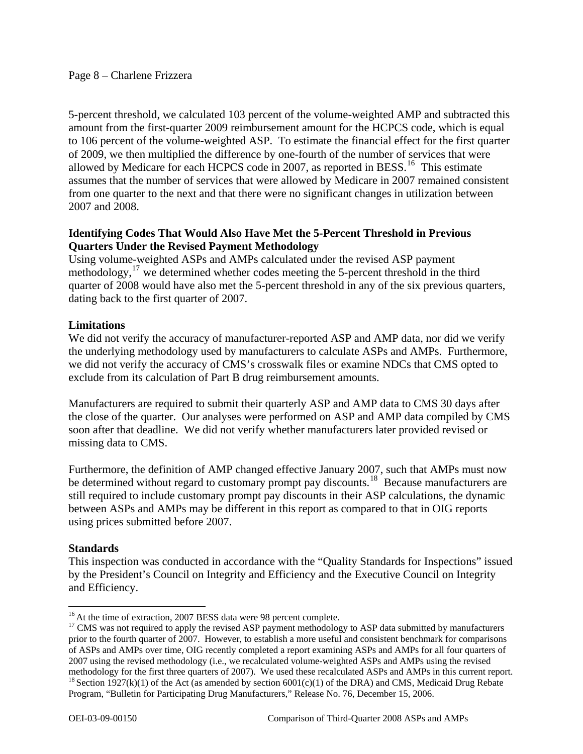5-percent threshold, we calculated 103 percent of the volume-weighted AMP and subtracted this amount from the first-quarter 2009 reimbursement amount for the HCPCS code, which is equal to 106 percent of the volume-weighted ASP. To estimate the financial effect for the first quarter of 2009, we then multiplied the difference by one-fourth of the number of services that were allowed by Medicare for each HCPCS code in 2007, as reported in BESS.<sup>[16](#page-7-0)</sup> This estimate assumes that the number of services that were allowed by Medicare in 2007 remained consistent from one quarter to the next and that there were no significant changes in utilization between 2007 and 2008.

### **Identifying Codes That Would Also Have Met the 5-Percent Threshold in Previous Quarters Under the Revised Payment Methodology**

Using volume-weighted ASPs and AMPs calculated under the revised ASP payment methodology,[17](#page-7-1) we determined whether codes meeting the 5-percent threshold in the third quarter of 2008 would have also met the 5-percent threshold in any of the six previous quarters, dating back to the first quarter of 2007.

### **Limitations**

We did not verify the accuracy of manufacturer-reported ASP and AMP data, nor did we verify the underlying methodology used by manufacturers to calculate ASPs and AMPs. Furthermore, we did not verify the accuracy of CMS's crosswalk files or examine NDCs that CMS opted to exclude from its calculation of Part B drug reimbursement amounts.

Manufacturers are required to submit their quarterly ASP and AMP data to CMS 30 days after the close of the quarter. Our analyses were performed on ASP and AMP data compiled by CMS soon after that deadline. We did not verify whether manufacturers later provided revised or missing data to CMS.

Furthermore, the definition of AMP changed effective January 2007, such that AMPs must now be determined without regard to customary prompt pay discounts.<sup>[18](#page-7-2)</sup> Because manufacturers are still required to include customary prompt pay discounts in their ASP calculations, the dynamic between ASPs and AMPs may be different in this report as compared to that in OIG reports using prices submitted before 2007.

### **Standards**

This inspection was conducted in accordance with the "Quality Standards for Inspections" issued by the President's Council on Integrity and Efficiency and the Executive Council on Integrity and Efficiency.

 $\overline{a}$ 

<span id="page-7-2"></span><span id="page-7-1"></span><span id="page-7-0"></span><sup>&</sup>lt;sup>16</sup> At the time of extraction, 2007 BESS data were 98 percent complete.<br><sup>17</sup> CMS was not required to apply the revised ASP payment methodology to ASP data submitted by manufacturers prior to the fourth quarter of 2007. However, to establish a more useful and consistent benchmark for comparisons of ASPs and AMPs over time, OIG recently completed a report examining ASPs and AMPs for all four quarters of 2007 using the revised methodology (i.e., we recalculated volume-weighted ASPs and AMPs using the revised methodology for the first three quarters of 2007). We used these recalculated ASPs and AMPs in this current report. <sup>18</sup> Section 1927(k)(1) of the Act (as amended by section 6001(c)(1) of the DRA) and CMS, Medicaid Drug R Program, "Bulletin for Participating Drug Manufacturers," Release No. 76, December 15, 2006.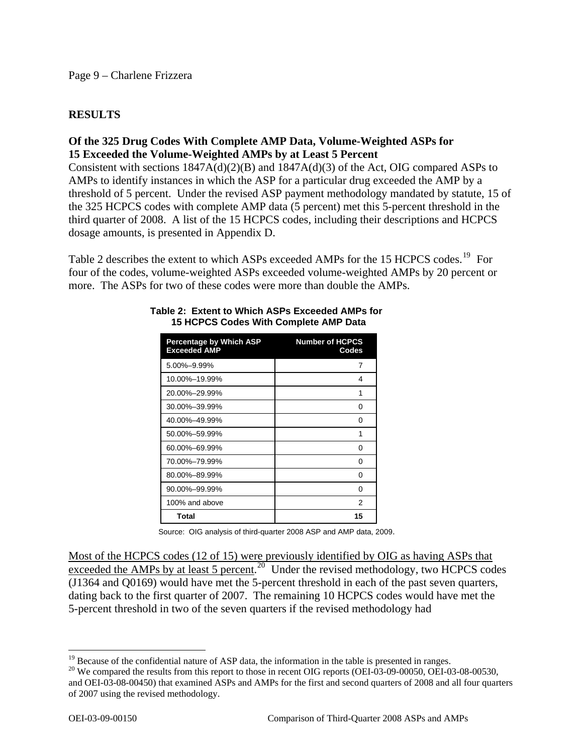### **RESULTS**

### **Of the 325 Drug Codes With Complete AMP Data, Volume-Weighted ASPs for 15 Exceeded the Volume-Weighted AMPs by at Least 5 Percent**

Consistent with sections 1847A(d)(2)(B) and 1847A(d)(3) of the Act, OIG compared ASPs to AMPs to identify instances in which the ASP for a particular drug exceeded the AMP by a threshold of 5 percent. Under the revised ASP payment methodology mandated by statute, 15 of the 325 HCPCS codes with complete AMP data (5 percent) met this 5-percent threshold in the third quarter of 2008. A list of the 15 HCPCS codes, including their descriptions and HCPCS dosage amounts, is presented in Appendix D.

more. The ASPs for two of these codes were more than double the AMPs. Table 2 describes the extent to which ASPs exceeded AMPs for the 15 HCPCS codes.<sup>[19](#page-8-0)</sup> For four of the codes, volume-weighted ASPs exceeded volume-weighted AMPs by 20 percent or

| <b>Percentage by Which ASP</b><br><b>Exceeded AMP</b> | <b>Number of HCPCS</b><br>Codes |
|-------------------------------------------------------|---------------------------------|
| 5.00%-9.99%                                           | 7                               |
| 10.00%-19.99%                                         | 4                               |
| 20.00%-29.99%                                         | 1                               |
| 30.00%-39.99%                                         | 0                               |
| 40.00%-49.99%                                         | 0                               |
| 50.00%-59.99%                                         | 1                               |
| 60.00%-69.99%                                         | 0                               |
| 70.00%-79.99%                                         | 0                               |
| 80.00%-89.99%                                         | 0                               |
| 90.00%-99.99%                                         | 0                               |
| 100% and above                                        | 2                               |
| Total                                                 | 15                              |

#### **Table 2: Extent to Which ASPs Exceeded AMPs for 15 HCPCS Codes With Complete AMP Data**

Source: OIG analysis of third-quarter 2008 ASP and AMP data, 2009.

Most of the HCPCS codes (12 of 15) were previously identified by OIG as having ASPs that exceeded the AMPs by at least 5 percent.<sup>[20](#page-8-1)</sup> Under the revised methodology, two HCPCS codes (J1364 and Q0169) would have met the 5-percent threshold in each of the past seven quarters, dating back to the first quarter of 2007. The remaining 10 HCPCS codes would have met the 5-percent threshold in two of the seven quarters if the revised methodology had

<span id="page-8-0"></span><sup>&</sup>lt;sup>19</sup> Because of the confidential nature of ASP data, the information in the table is presented in ranges.<br><sup>20</sup> We compared the results from this report to those in recent OIG reports (OEI-03-09-00050, OEI-03-08-00530,

<span id="page-8-1"></span>and OEI-03-08-00450) that examined ASPs and AMPs for the first and second quarters of 2008 and all four quarters of 2007 using the revised methodology.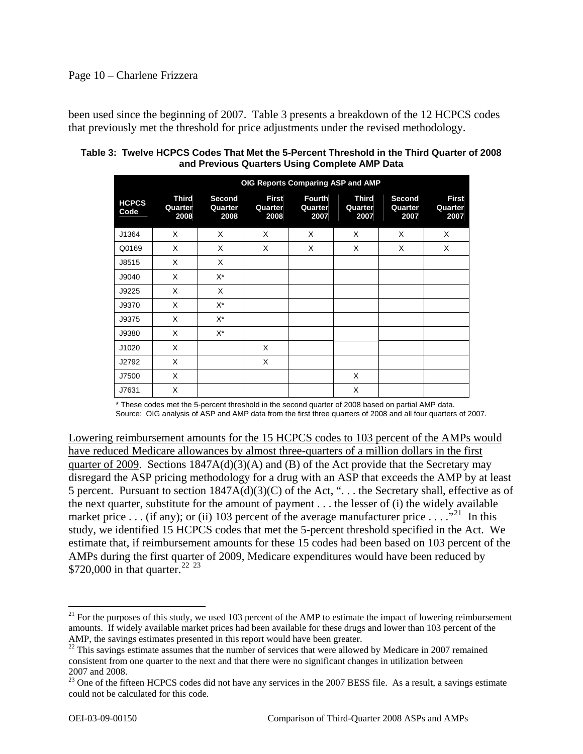#### Page 10 – Charlene Frizzera

been used since the beginning of 2007. Table 3 presents a breakdown of the 12 HCPCS codes that previously met the threshold for price adjustments under the revised methodology.

| OIG Reports Comparing ASP and AMP |                                 |                           |                                 |                                  |                                 |                                  |                                 |
|-----------------------------------|---------------------------------|---------------------------|---------------------------------|----------------------------------|---------------------------------|----------------------------------|---------------------------------|
| <b>HCPCS</b><br>Code              | <b>Third</b><br>Quarter<br>2008 | Second<br>Quarter<br>2008 | <b>First</b><br>Quarter<br>2008 | <b>Fourth</b><br>Quarter<br>2007 | <b>Third</b><br>Quarter<br>2007 | <b>Second</b><br>Quarter<br>2007 | <b>First</b><br>Quarter<br>2007 |
| J1364                             | X                               | X                         | X                               | X                                | X                               | X                                | X                               |
| Q0169                             | X                               | X                         | X                               | X                                | X                               | X                                | X                               |
| J8515                             | X                               | X                         |                                 |                                  |                                 |                                  |                                 |
| J9040                             | X                               | $X^*$                     |                                 |                                  |                                 |                                  |                                 |
| J9225                             | $\times$                        | X                         |                                 |                                  |                                 |                                  |                                 |
| J9370                             | X                               | X*                        |                                 |                                  |                                 |                                  |                                 |
| J9375                             | X                               | $X^*$                     |                                 |                                  |                                 |                                  |                                 |
| J9380                             | X                               | $X^*$                     |                                 |                                  |                                 |                                  |                                 |
| J1020                             | X                               |                           | X                               |                                  |                                 |                                  |                                 |
| J2792                             | X                               |                           | X                               |                                  |                                 |                                  |                                 |
| J7500                             | X                               |                           |                                 |                                  | X                               |                                  |                                 |
| J7631                             | X                               |                           |                                 |                                  | X                               |                                  |                                 |

| Table 3:  Twelve HCPCS Codes That Met the 5-Percent Threshold in the Third Quarter of 2008 |  |
|--------------------------------------------------------------------------------------------|--|
| and Previous Quarters Using Complete AMP Data                                              |  |

\* These codes met the 5-percent threshold in the second quarter of 2008 based on partial AMP data. Source: OIG analysis of ASP and AMP data from the first three quarters of 2008 and all four quarters of 2007.

Lowering reimbursement amounts for the 15 HCPCS codes to 103 percent of the AMPs would have reduced Medicare allowances by almost three-quarters of a million dollars in the first quarter of 2009. Sections  $1847A(d)(3)(A)$  and (B) of the Act provide that the Secretary may disregard the ASP pricing methodology for a drug with an ASP that exceeds the AMP by at least 5 percent. Pursuant to section 1847A(d)(3)(C) of the Act, ". . . the Secretary shall, effective as of the next quarter, substitute for the amount of payment . . . the lesser of (i) the widely available market price . . . (if any); or (ii) 103 percent of the average manufacturer price . . . ."<sup>[21](#page-9-0)</sup> In this study, we identified 15 HCPCS codes that met the 5-percent threshold specified in the Act. We estimate that, if reimbursement amounts for these 15 codes had been based on 103 percent of the AMPs during the first quarter of 2009, Medicare expenditures would have been reduced by \$720,000 in that quarter.<sup>[22](#page-9-1)</sup> <sup>[23](#page-9-2)</sup>

<u>.</u>

<span id="page-9-0"></span> $^{21}$  For the purposes of this study, we used 103 percent of the AMP to estimate the impact of lowering reimbursement amounts. If widely available market prices had been available for these drugs and lower than 103 percent of the AMP, the savings estimates presented in this report would have been greater.

<span id="page-9-1"></span> $22$  This savings estimate assumes that the number of services that were allowed by Medicare in 2007 remained consistent from one quarter to the next and that there were no significant changes in utilization between 2007 and 2008.

<span id="page-9-2"></span> $^{23}$  One of the fifteen HCPCS codes did not have any services in the 2007 BESS file. As a result, a savings estimate could not be calculated for this code.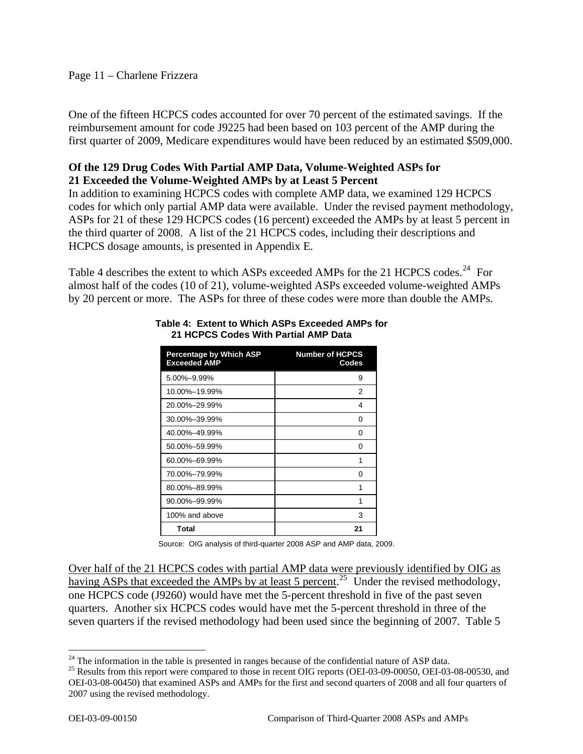#### Page 11 – Charlene Frizzera

One of the fifteen HCPCS codes accounted for over 70 percent of the estimated savings. If the reimbursement amount for code J9225 had been based on 103 percent of the AMP during the first quarter of 2009, Medicare expenditures would have been reduced by an estimated \$509,000.

### **Of the 129 Drug Codes With Partial AMP Data, Volume-Weighted ASPs for 21 Exceeded the Volume-Weighted AMPs by at Least 5 Percent**

In addition to examining HCPCS codes with complete AMP data, we examined 129 HCPCS codes for which only partial AMP data were available. Under the revised payment methodology, ASPs for 21 of these 129 HCPCS codes (16 percent) exceeded the AMPs by at least 5 percent in the third quarter of 2008. A list of the 21 HCPCS codes, including their descriptions and HCPCS dosage amounts, is presented in Appendix E.

Table 4 describes the extent to which ASPs exceeded AMPs for the 21 HCPCS codes.<sup>[24](#page-10-0)</sup> For almost half of the codes (10 of 21), volume-weighted ASPs exceeded volume-weighted AMPs by 20 percent or more. The ASPs for three of these codes were more than double the AMPs.

| <b>Percentage by Which ASP</b><br><b>Exceeded AMP</b> | <b>Number of HCPCS</b><br>Codes |
|-------------------------------------------------------|---------------------------------|
| $5.00\% - 9.99\%$                                     | 9                               |
| 10.00%-19.99%                                         | 2                               |
| 20.00%-29.99%                                         | 4                               |
| 30.00%-39.99%                                         | 0                               |
| 40.00%-49.99%                                         | O                               |
| 50.00%-59.99%                                         | 0                               |
| 60.00%-69.99%                                         | 1                               |
| 70.00%-79.99%                                         | 0                               |
| 80.00%-89.99%                                         | 1                               |
| 90.00%–99.99%                                         | 1                               |
| 100% and above                                        | 3                               |
| Total                                                 | 21                              |

#### **Table 4: Extent to Which ASPs Exceeded AMPs for 21 HCPCS Codes With Partial AMP Data**

Source: OIG analysis of third-quarter 2008 ASP and AMP data, 2009.

Over half of the 21 HCPCS codes with partial AMP data were previously identified by OIG as having ASPs that exceeded the AMPs by at least 5 percent.<sup>[25](#page-10-1)</sup> Under the revised methodology, one HCPCS code (J9260) would have met the 5-percent threshold in five of the past seven quarters. Another six HCPCS codes would have met the 5-percent threshold in three of the seven quarters if the revised methodology had been used since the beginning of 2007. Table 5

<span id="page-10-0"></span> $^{24}$  The information in the table is presented in ranges because of the confidential nature of ASP data.

<span id="page-10-1"></span><sup>&</sup>lt;sup>25</sup> Results from this report were compared to those in recent OIG reports (OEI-03-09-00050, OEI-03-08-00530, and OEI-03-08-00450) that examined ASPs and AMPs for the first and second quarters of 2008 and all four quarters of 2007 using the revised methodology.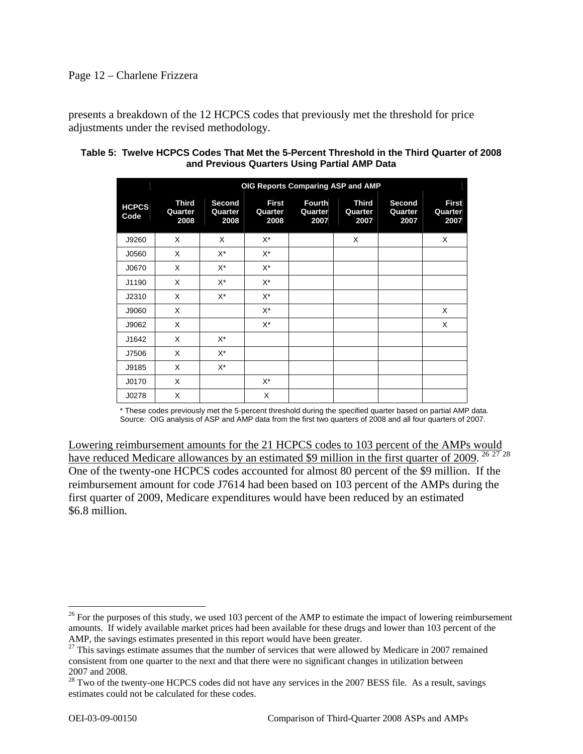#### Page 12 – Charlene Frizzera

presents a breakdown of the 12 HCPCS codes that previously met the threshold for price adjustments under the revised methodology.

| Table 5: Twelve HCPCS Codes That Met the 5-Percent Threshold in the Third Quarter of 2008 |  |
|-------------------------------------------------------------------------------------------|--|
| and Previous Quarters Using Partial AMP Data                                              |  |

|                      | OIG Reports Comparing ASP and AMP |                           |                                 |                                  |                                 |                           |                                 |
|----------------------|-----------------------------------|---------------------------|---------------------------------|----------------------------------|---------------------------------|---------------------------|---------------------------------|
| <b>HCPCS</b><br>Code | Third<br>Quarter<br>2008          | Second<br>Quarter<br>2008 | <b>First</b><br>Quarter<br>2008 | <b>Fourth</b><br>Quarter<br>2007 | <b>Third</b><br>Quarter<br>2007 | Second<br>Quarter<br>2007 | <b>First</b><br>Quarter<br>2007 |
| J9260                | X                                 | X                         | $X^*$                           |                                  | X                               |                           | X                               |
| J0560                | X                                 | X*                        | X*                              |                                  |                                 |                           |                                 |
| J0670                | X                                 | $X^*$                     | $X^*$                           |                                  |                                 |                           |                                 |
| J1190                | X                                 | $X^*$                     | $X^*$                           |                                  |                                 |                           |                                 |
| J2310                | X                                 | $X^*$                     | X*                              |                                  |                                 |                           |                                 |
| J9060                | X                                 |                           | $X^*$                           |                                  |                                 |                           | Χ                               |
| J9062                | X                                 |                           | $X^*$                           |                                  |                                 |                           | X                               |
| J1642                | X                                 | $X^*$                     |                                 |                                  |                                 |                           |                                 |
| J7506                | X                                 | $X^*$                     |                                 |                                  |                                 |                           |                                 |
| J9185                | X                                 | $X^*$                     |                                 |                                  |                                 |                           |                                 |
| J0170                | X                                 |                           | X*                              |                                  |                                 |                           |                                 |
| J0278                | X                                 |                           | X                               |                                  |                                 |                           |                                 |

\* These codes previously met the 5-percent threshold during the specified quarter based on partial AMP data. Source: OIG analysis of ASP and AMP data from the first two quarters of 2008 and all four quarters of 2007.

Lowering reimbursement amounts for the 21 HCPCS codes to 103 percent of the AMPs would have reduced Medicare allowances by an estimated \$9 million in the first quarter of 2009.<sup>[26](#page-11-0) [27](#page-11-1)</sup><sup>[28](#page-11-2)</sup> One of the twenty-one HCPCS codes accounted for almost 80 percent of the \$9 million. If the reimbursement amount for code J7614 had been based on 103 percent of the AMPs during the first quarter of 2009, Medicare expenditures would have been reduced by an estimated \$6.8 million.

<span id="page-11-0"></span> $26$  For the purposes of this study, we used 103 percent of the AMP to estimate the impact of lowering reimbursement amounts. If widely available market prices had been available for these drugs and lower than 103 percent of the AMP, the savings estimates presented in this report would have been greater.

<span id="page-11-1"></span><sup>&</sup>lt;sup>27</sup> This savings estimate assumes that the number of services that were allowed by Medicare in 2007 remained consistent from one quarter to the next and that there were no significant changes in utilization between 2007 and 2008.

<span id="page-11-2"></span> $^{28}$  Two of the twenty-one HCPCS codes did not have any services in the 2007 BESS file. As a result, savings estimates could not be calculated for these codes.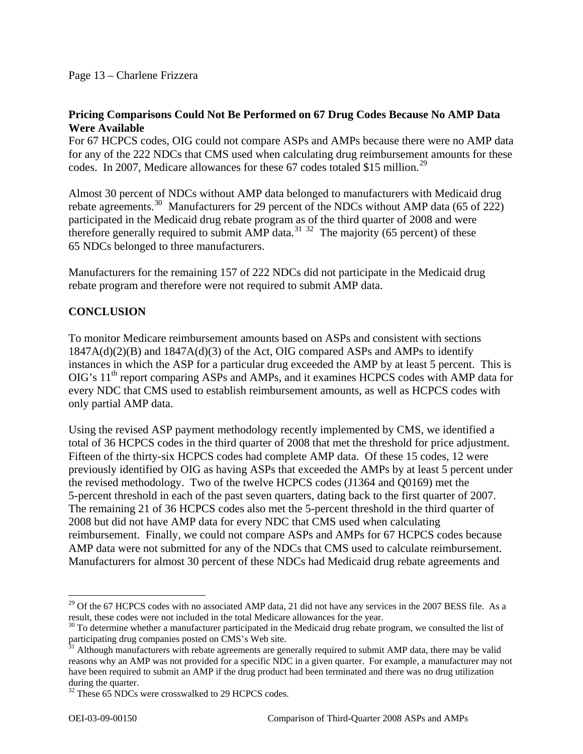### **Pricing Comparisons Could Not Be Performed on 67 Drug Codes Because No AMP Data Were Available**

For 67 HCPCS codes, OIG could not compare ASPs and AMPs because there were no AMP data for any of the 222 NDCs that CMS used when calculating drug reimbursement amounts for these codes. In 2007, Medicare allowances for these 67 codes totaled \$15 million.<sup>[29](#page-12-0)</sup>

Almost 30 percent of NDCs without AMP data belonged to manufacturers with Medicaid drug rebate agreements.<sup>[30](#page-12-1)</sup> Manufacturers for 29 percent of the NDCs without AMP data (65 of 222) participated in the Medicaid drug rebate program as of the third quarter of 2008 and were therefore generally required to submit AMP data.<sup>[31](#page-12-2) [32](#page-12-3)</sup> The majority (65 percent) of these 65 NDCs belonged to three manufacturers.

Manufacturers for the remaining 157 of 222 NDCs did not participate in the Medicaid drug rebate program and therefore were not required to submit AMP data.

## **CONCLUSION**

To monitor Medicare reimbursement amounts based on ASPs and consistent with sections  $1847A(d)(2)(B)$  and  $1847A(d)(3)$  of the Act, OIG compared ASPs and AMPs to identify instances in which the ASP for a particular drug exceeded the AMP by at least 5 percent. This is  $OIG's 11<sup>th</sup>$  report comparing ASPs and AMPs, and it examines HCPCS codes with AMP data for every NDC that CMS used to establish reimbursement amounts, as well as HCPCS codes with only partial AMP data.

Using the revised ASP payment methodology recently implemented by CMS, we identified a total of 36 HCPCS codes in the third quarter of 2008 that met the threshold for price adjustment. Fifteen of the thirty-six HCPCS codes had complete AMP data. Of these 15 codes, 12 were previously identified by OIG as having ASPs that exceeded the AMPs by at least 5 percent under the revised methodology. Two of the twelve HCPCS codes (J1364 and Q0169) met the 5-percent threshold in each of the past seven quarters, dating back to the first quarter of 2007. The remaining 21 of 36 HCPCS codes also met the 5-percent threshold in the third quarter of 2008 but did not have AMP data for every NDC that CMS used when calculating reimbursement. Finally, we could not compare ASPs and AMPs for 67 HCPCS codes because AMP data were not submitted for any of the NDCs that CMS used to calculate reimbursement. Manufacturers for almost 30 percent of these NDCs had Medicaid drug rebate agreements and

<span id="page-12-0"></span> $^{29}$  Of the 67 HCPCS codes with no associated AMP data, 21 did not have any services in the 2007 BESS file. As a result, these codes were not included in the total Medicare allowances for the year.

<span id="page-12-1"></span><sup>&</sup>lt;sup>30</sup> To determine whether a manufacturer participated in the Medicaid drug rebate program, we consulted the list of participating drug companies posted on CMS's Web site.

<span id="page-12-2"></span> $31$  Although manufacturers with rebate agreements are generally required to submit AMP data, there may be valid reasons why an AMP was not provided for a specific NDC in a given quarter. For example, a manufacturer may not have been required to submit an AMP if the drug product had been terminated and there was no drug utilization during the quarter.

<span id="page-12-3"></span><sup>&</sup>lt;sup>32</sup> These 65 NDCs were crosswalked to 29 HCPCS codes.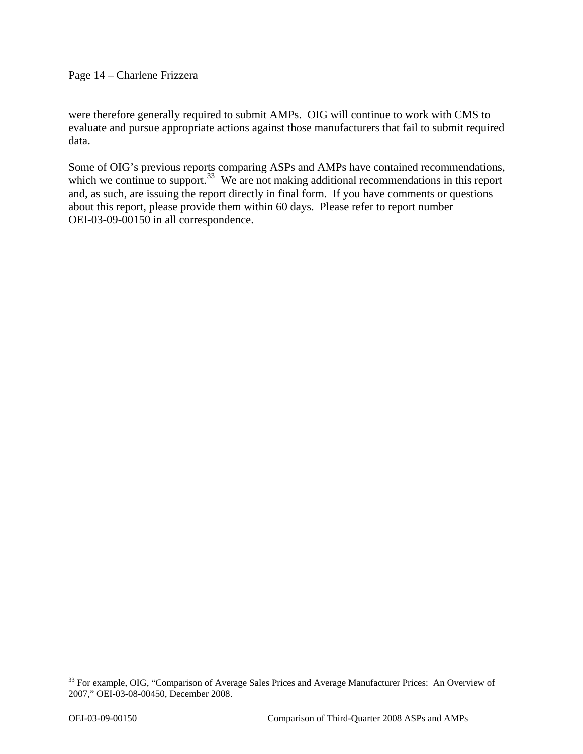Page 14 – Charlene Frizzera

were therefore generally required to submit AMPs. OIG will continue to work with CMS to evaluate and pursue appropriate actions against those manufacturers that fail to submit required data.

Some of OIG's previous reports comparing ASPs and AMPs have contained recommendations, which we continue to support.<sup>[33](#page-13-0)</sup> We are not making additional recommendations in this report and, as such, are issuing the report directly in final form. If you have comments or questions about this report, please provide them within 60 days. Please refer to report number OEI-03-09-00150 in all correspondence.

<span id="page-13-0"></span><sup>&</sup>lt;sup>33</sup> For example, OIG, "Comparison of Average Sales Prices and Average Manufacturer Prices: An Overview of 2007," OEI-03-08-00450, December 2008.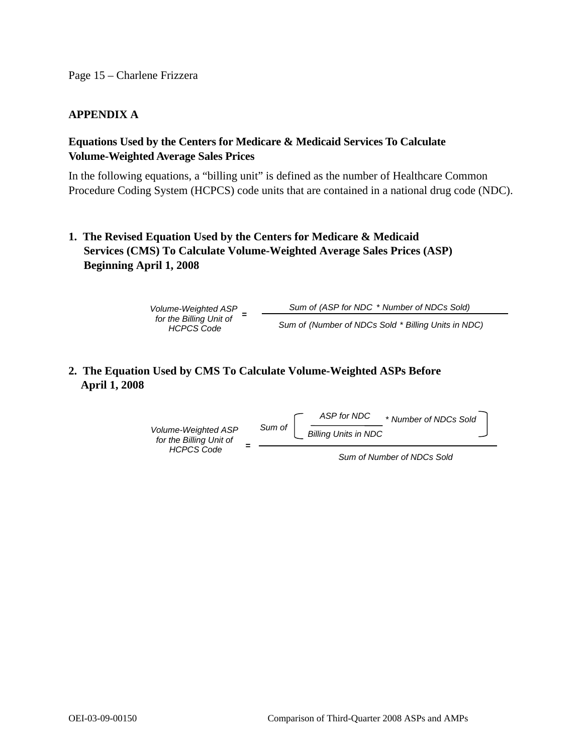### **APPENDIX A**

### **Equations Used by the Centers for Medicare & Medicaid Services To Calculate Volume-Weighted Average Sales Prices**

In the following equations, a "billing unit" is defined as the number of Healthcare Common Procedure Coding System (HCPCS) code units that are contained in a national drug code (NDC).

**1. The Revised Equation Used by the Centers for Medicare & Medicaid Services (CMS) To Calculate Volume-Weighted Average Sales Prices (ASP) Beginning April 1, 2008** 

> *Volume-Weighted ASP for the Billing Unit of HCPCS Code Sum of(ASP for NDC* \* *Number of NDCs Sold) Sum of (Number of NDCs Sold* \* *Billing Units in NDC)* **=**

### **2. The Equation Used by CMS To Calculate Volume-Weighted ASPs Before April 1, 2008**



*Sum of Number of NDCs Sold*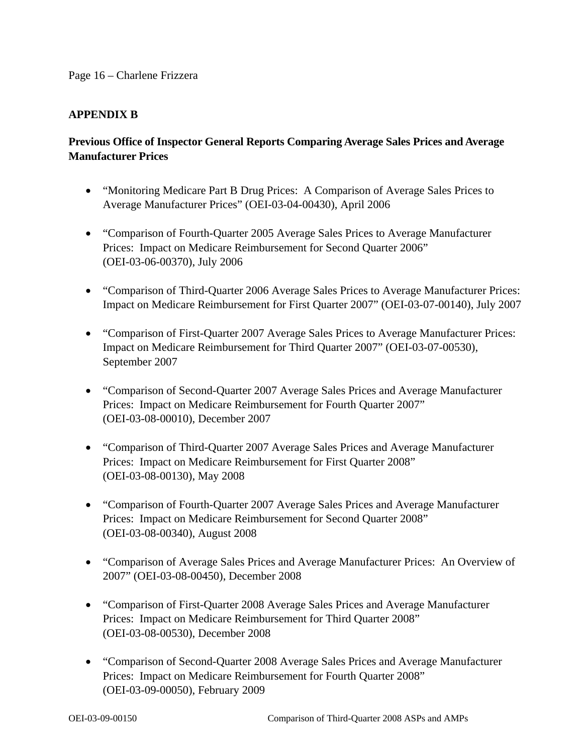#### Page 16 – Charlene Frizzera

### **APPENDIX B**

## **Previous Office of Inspector General Reports Comparing Average Sales Prices and Average Manufacturer Prices**

- "Monitoring Medicare Part B Drug Prices: A Comparison of Average Sales Prices to Average Manufacturer Prices" (OEI-03-04-00430), April 2006
- "Comparison of Fourth-Quarter 2005 Average Sales Prices to Average Manufacturer Prices: Impact on Medicare Reimbursement for Second Quarter 2006" (OEI-03-06-00370), July 2006
- "Comparison of Third-Quarter 2006 Average Sales Prices to Average Manufacturer Prices: Impact on Medicare Reimbursement for First Quarter 2007" (OEI-03-07-00140), July 2007
- "Comparison of First-Quarter 2007 Average Sales Prices to Average Manufacturer Prices: Impact on Medicare Reimbursement for Third Quarter 2007" (OEI-03-07-00530), September 2007
- "Comparison of Second-Quarter 2007 Average Sales Prices and Average Manufacturer Prices: Impact on Medicare Reimbursement for Fourth Quarter 2007" (OEI-03-08-00010), December 2007
- "Comparison of Third-Quarter 2007 Average Sales Prices and Average Manufacturer Prices: Impact on Medicare Reimbursement for First Quarter 2008" (OEI-03-08-00130), May 2008
- "Comparison of Fourth-Quarter 2007 Average Sales Prices and Average Manufacturer Prices: Impact on Medicare Reimbursement for Second Quarter 2008" (OEI-03-08-00340), August 2008
- "Comparison of Average Sales Prices and Average Manufacturer Prices: An Overview of 2007" (OEI-03-08-00450), December 2008
- "Comparison of First-Quarter 2008 Average Sales Prices and Average Manufacturer Prices: Impact on Medicare Reimbursement for Third Quarter 2008" (OEI-03-08-00530), December 2008
- "Comparison of Second-Quarter 2008 Average Sales Prices and Average Manufacturer Prices: Impact on Medicare Reimbursement for Fourth Quarter 2008" (OEI-03-09-00050), February 2009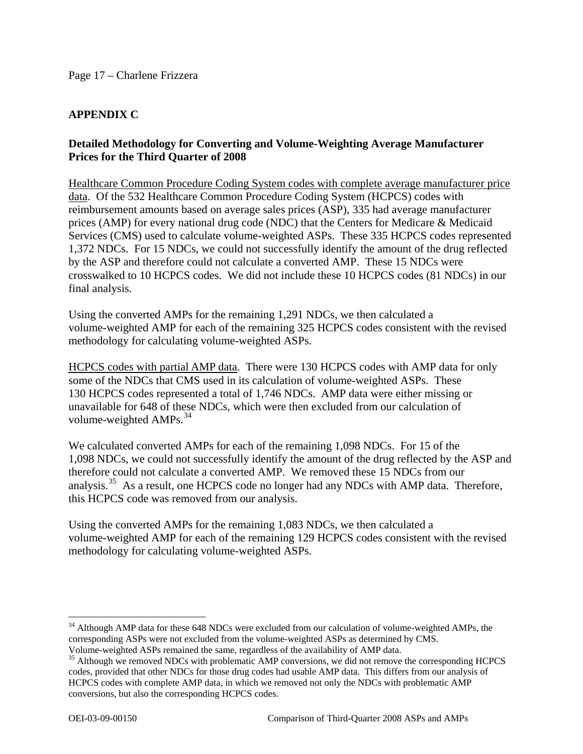### **APPENDIX C**

### **Detailed Methodology for Converting and Volume-Weighting Average Manufacturer Prices for the Third Quarter of 2008**

Healthcare Common Procedure Coding System codes with complete average manufacturer price data. Of the 532 Healthcare Common Procedure Coding System (HCPCS) codes with reimbursement amounts based on average sales prices (ASP), 335 had average manufacturer prices (AMP) for every national drug code (NDC) that the Centers for Medicare & Medicaid Services (CMS) used to calculate volume-weighted ASPs. These 335 HCPCS codes represented 1,372 NDCs. For 15 NDCs, we could not successfully identify the amount of the drug reflected by the ASP and therefore could not calculate a converted AMP. These 15 NDCs were crosswalked to 10 HCPCS codes. We did not include these 10 HCPCS codes (81 NDCs) in our final analysis.

Using the converted AMPs for the remaining 1,291 NDCs, we then calculated a volume-weighted AMP for each of the remaining 325 HCPCS codes consistent with the revised methodology for calculating volume-weighted ASPs.

HCPCS codes with partial AMP data. There were 130 HCPCS codes with AMP data for only some of the NDCs that CMS used in its calculation of volume-weighted ASPs. These 130 HCPCS codes represented a total of 1,746 NDCs. AMP data were either missing or unavailable for 648 of these NDCs, which were then excluded from our calculation of volume-weighted AMPs.<sup>[34](#page-16-0)</sup>

We calculated converted AMPs for each of the remaining 1,098 NDCs. For 15 of the 1,098 NDCs, we could not successfully identify the amount of the drug reflected by the ASP and therefore could not calculate a converted AMP. We removed these 15 NDCs from our analysis.<sup>[35](#page-16-1)</sup> As a result, one HCPCS code no longer had any NDCs with AMP data. Therefore, this HCPCS code was removed from our analysis.

Using the converted AMPs for the remaining 1,083 NDCs, we then calculated a volume-weighted AMP for each of the remaining 129 HCPCS codes consistent with the revised methodology for calculating volume-weighted ASPs.

<span id="page-16-0"></span><sup>&</sup>lt;sup>34</sup> Although AMP data for these 648 NDCs were excluded from our calculation of volume-weighted AMPs, the corresponding ASPs were not excluded from the volume-weighted ASPs as determined by CMS. Volume-weighted ASPs remained the same, regardless of the availability of AMP data.

<span id="page-16-1"></span><sup>&</sup>lt;sup>35</sup> Although we removed NDCs with problematic AMP conversions, we did not remove the corresponding HCPCS codes, provided that other NDCs for those drug codes had usable AMP data. This differs from our analysis of HCPCS codes with complete AMP data, in which we removed not only the NDCs with problematic AMP conversions, but also the corresponding HCPCS codes.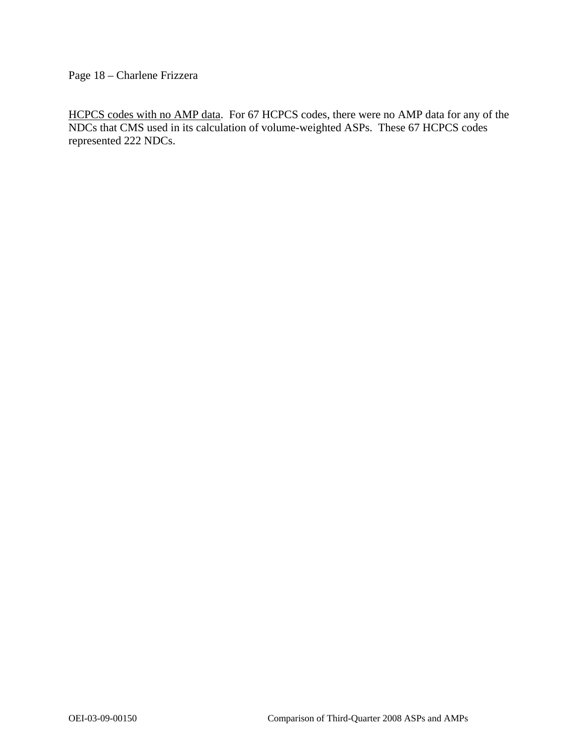Page 18 – Charlene Frizzera

HCPCS codes with no AMP data. For 67 HCPCS codes, there were no AMP data for any of the NDCs that CMS used in its calculation of volume-weighted ASPs. These 67 HCPCS codes represented 222 NDCs.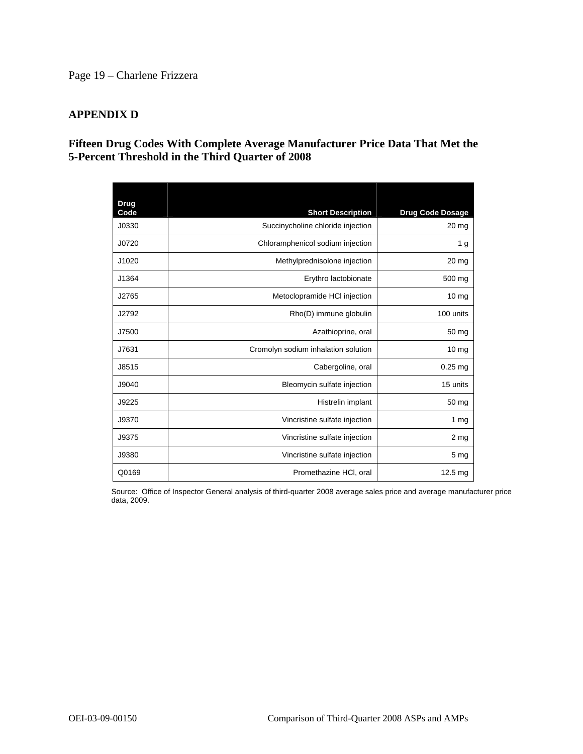### Page 19 – Charlene Frizzera

#### **APPENDIX D**

### **Fifteen Drug Codes With Complete Average Manufacturer Price Data That Met the 5-Percent Threshold in the Third Quarter of 2008**

| Drug  |                                     |                         |
|-------|-------------------------------------|-------------------------|
| Code  | <b>Short Description</b>            | <b>Drug Code Dosage</b> |
| J0330 | Succinycholine chloride injection   | 20 mg                   |
| J0720 | Chloramphenicol sodium injection    | 1 <sub>g</sub>          |
| J1020 | Methylprednisolone injection        | 20 <sub>mg</sub>        |
| J1364 | Erythro lactobionate                | 500 mg                  |
| J2765 | Metoclopramide HCI injection        | 10 mg                   |
| J2792 | Rho(D) immune globulin              | 100 units               |
| J7500 | Azathioprine, oral                  | 50 mg                   |
| J7631 | Cromolyn sodium inhalation solution | 10 <sub>mg</sub>        |
| J8515 | Cabergoline, oral                   | $0.25$ mg               |
| J9040 | Bleomycin sulfate injection         | 15 units                |
| J9225 | Histrelin implant                   | 50 mg                   |
| J9370 | Vincristine sulfate injection       | 1 $mg$                  |
| J9375 | Vincristine sulfate injection       | 2 <sub>mg</sub>         |
| J9380 | Vincristine sulfate injection       | 5 <sub>mg</sub>         |
| Q0169 | Promethazine HCI, oral              | 12.5 mg                 |

Source: Office of Inspector General analysis of third-quarter 2008 average sales price and average manufacturer price data, 2009.